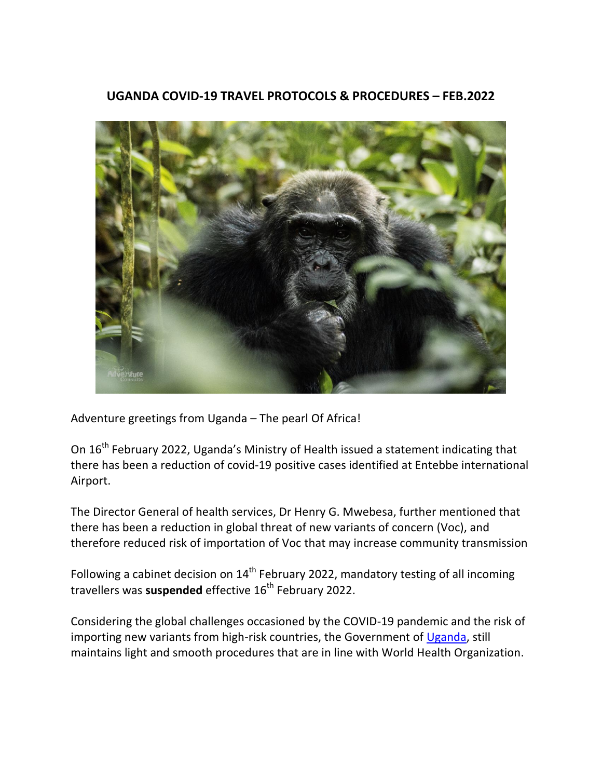### **UGANDA COVID-19 TRAVEL PROTOCOLS & PROCEDURES – FEB.2022**



Adventure greetings from Uganda – The pearl Of Africa!

On 16<sup>th</sup> February 2022, Uganda's Ministry of Health issued a statement indicating that there has been a reduction of covid-19 positive cases identified at Entebbe international Airport.

The Director General of health services, Dr Henry G. Mwebesa, further mentioned that there has been a reduction in global threat of new variants of concern (Voc), and therefore reduced risk of importation of Voc that may increase community transmission

Following a cabinet decision on  $14<sup>th</sup>$  February 2022, mandatory testing of all incoming travellers was **suspended** effective 16<sup>th</sup> February 2022.

Considering the global challenges occasioned by the COVID-19 pandemic and the risk of importing new variants from high-risk countries, the Government of [Uganda,](https://www.adventureconsults.com/destinations-packages/destinations/uganda.html) still maintains light and smooth procedures that are in line with World Health Organization.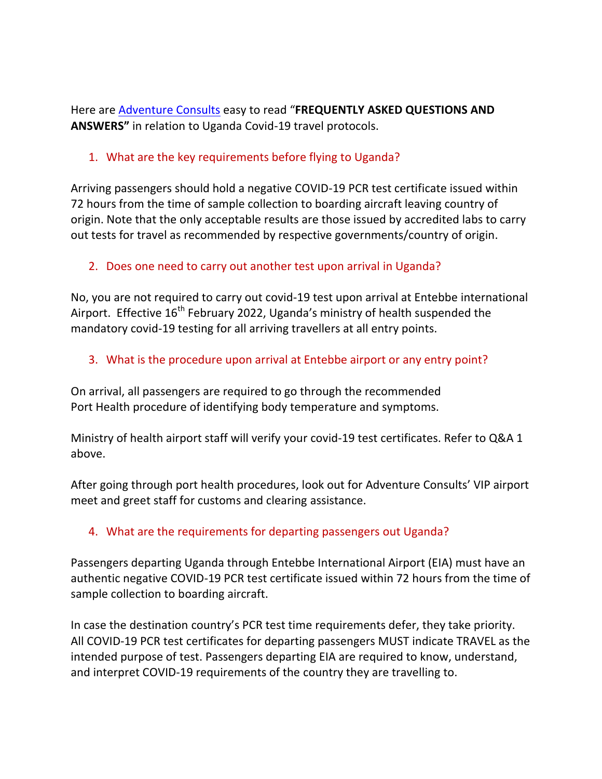Here are [Adventure](http://www.adventureconsults.com/) Consults easy to read "**FREQUENTLY ASKED QUESTIONS AND ANSWERS"** in relation to Uganda Covid-19 travel protocols.

### 1. What are the key requirements before flying to Uganda?

Arriving passengers should hold a negative COVID-19 PCR test certificate issued within 72 hours from the time of sample collection to boarding aircraft leaving country of origin. Note that the only acceptable results are those issued by accredited labs to carry out tests for travel as recommended by respective governments/country of origin.

# 2. Does one need to carry out another test upon arrival in Uganda?

No, you are not required to carry out covid-19 test upon arrival at Entebbe international Airport. Effective 16<sup>th</sup> February 2022, Uganda's ministry of health suspended the mandatory covid-19 testing for all arriving travellers at all entry points.

# 3. What is the procedure upon arrival at Entebbe airport or any entry point?

On arrival, all passengers are required to go through the recommended Port Health procedure of identifying body temperature and symptoms.

Ministry of health airport staff will verify your covid-19 test certificates. Refer to Q&A 1 above.

After going through port health procedures, look out for Adventure Consults' VIP airport meet and greet staff for customs and clearing assistance.

# 4. What are the requirements for departing passengers out Uganda?

Passengers departing Uganda through Entebbe International Airport (EIA) must have an authentic negative COVID-19 PCR test certificate issued within 72 hours from the time of sample collection to boarding aircraft.

In case the destination country's PCR test time requirements defer, they take priority. All COVID-19 PCR test certificates for departing passengers MUST indicate TRAVEL as the intended purpose of test. Passengers departing EIA are required to know, understand, and interpret COVID-19 requirements of the country they are travelling to.